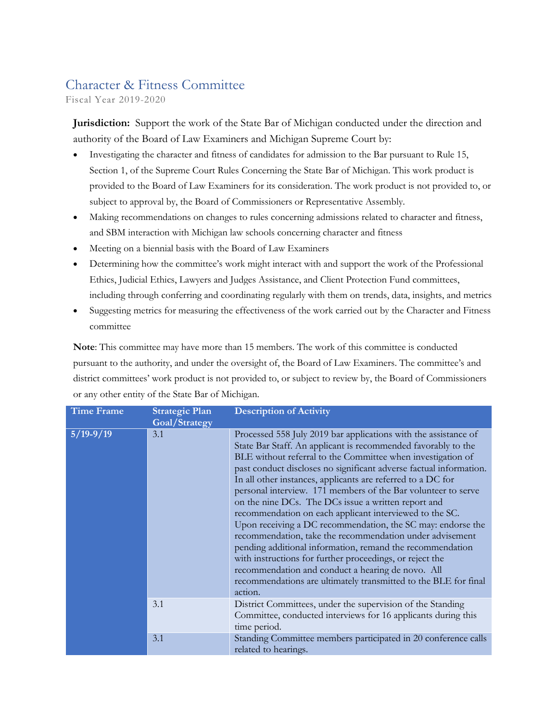## Character & Fitness Committee

Fiscal Year 2019-2020

**Jurisdiction:** Support the work of the State Bar of Michigan conducted under the direction and authority of the Board of Law Examiners and Michigan Supreme Court by:

- Investigating the character and fitness of candidates for admission to the Bar pursuant to Rule 15, Section 1, of the Supreme Court Rules Concerning the State Bar of Michigan. This work product is provided to the Board of Law Examiners for its consideration. The work product is not provided to, or subject to approval by, the Board of Commissioners or Representative Assembly.
- Making recommendations on changes to rules concerning admissions related to character and fitness, and SBM interaction with Michigan law schools concerning character and fitness
- Meeting on a biennial basis with the Board of Law Examiners
- Determining how the committee's work might interact with and support the work of the Professional Ethics, Judicial Ethics, Lawyers and Judges Assistance, and Client Protection Fund committees, including through conferring and coordinating regularly with them on trends, data, insights, and metrics
- Suggesting metrics for measuring the effectiveness of the work carried out by the Character and Fitness committee

**Note**: This committee may have more than 15 members. The work of this committee is conducted pursuant to the authority, and under the oversight of, the Board of Law Examiners. The committee's and district committees' work product is not provided to, or subject to review by, the Board of Commissioners or any other entity of the State Bar of Michigan.

| <b>Time Frame</b>  | <b>Strategic Plan</b><br>Goal/Strategy | <b>Description of Activity</b>                                                                                                                                                                                                                                                                                                                                                                                                                                                                                                                                                                                                                                                                                                                                                                                                                                                                                 |
|--------------------|----------------------------------------|----------------------------------------------------------------------------------------------------------------------------------------------------------------------------------------------------------------------------------------------------------------------------------------------------------------------------------------------------------------------------------------------------------------------------------------------------------------------------------------------------------------------------------------------------------------------------------------------------------------------------------------------------------------------------------------------------------------------------------------------------------------------------------------------------------------------------------------------------------------------------------------------------------------|
| $\sqrt{5/19-9/19}$ | 3.1                                    | Processed 558 July 2019 bar applications with the assistance of<br>State Bar Staff. An applicant is recommended favorably to the<br>BLE without referral to the Committee when investigation of<br>past conduct discloses no significant adverse factual information.<br>In all other instances, applicants are referred to a DC for<br>personal interview. 171 members of the Bar volunteer to serve<br>on the nine DCs. The DCs issue a written report and<br>recommendation on each applicant interviewed to the SC.<br>Upon receiving a DC recommendation, the SC may: endorse the<br>recommendation, take the recommendation under advisement<br>pending additional information, remand the recommendation<br>with instructions for further proceedings, or reject the<br>recommendation and conduct a hearing de novo. All<br>recommendations are ultimately transmitted to the BLE for final<br>action. |
|                    | 3.1                                    | District Committees, under the supervision of the Standing<br>Committee, conducted interviews for 16 applicants during this<br>time period.                                                                                                                                                                                                                                                                                                                                                                                                                                                                                                                                                                                                                                                                                                                                                                    |
|                    | 3.1                                    | Standing Committee members participated in 20 conference calls<br>related to hearings.                                                                                                                                                                                                                                                                                                                                                                                                                                                                                                                                                                                                                                                                                                                                                                                                                         |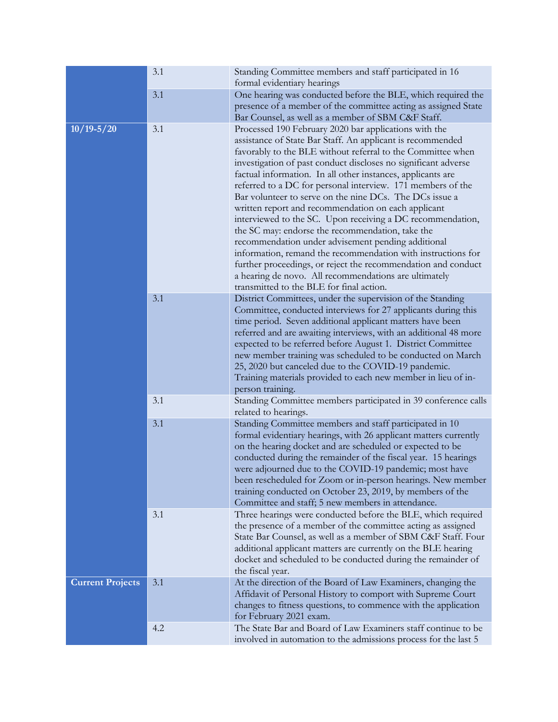|                         | 3.1 | Standing Committee members and staff participated in 16<br>formal evidentiary hearings                                                                                                                                                                                                                                                                                                                                                                                                                                                                                                                                                                                                                                                                                                                                                                                                                             |
|-------------------------|-----|--------------------------------------------------------------------------------------------------------------------------------------------------------------------------------------------------------------------------------------------------------------------------------------------------------------------------------------------------------------------------------------------------------------------------------------------------------------------------------------------------------------------------------------------------------------------------------------------------------------------------------------------------------------------------------------------------------------------------------------------------------------------------------------------------------------------------------------------------------------------------------------------------------------------|
|                         | 3.1 | One hearing was conducted before the BLE, which required the<br>presence of a member of the committee acting as assigned State<br>Bar Counsel, as well as a member of SBM C&F Staff.                                                                                                                                                                                                                                                                                                                                                                                                                                                                                                                                                                                                                                                                                                                               |
| $10/19 - 5/20$          | 3.1 | Processed 190 February 2020 bar applications with the<br>assistance of State Bar Staff. An applicant is recommended<br>favorably to the BLE without referral to the Committee when<br>investigation of past conduct discloses no significant adverse<br>factual information. In all other instances, applicants are<br>referred to a DC for personal interview. 171 members of the<br>Bar volunteer to serve on the nine DCs. The DCs issue a<br>written report and recommendation on each applicant<br>interviewed to the SC. Upon receiving a DC recommendation,<br>the SC may: endorse the recommendation, take the<br>recommendation under advisement pending additional<br>information, remand the recommendation with instructions for<br>further proceedings, or reject the recommendation and conduct<br>a hearing de novo. All recommendations are ultimately<br>transmitted to the BLE for final action. |
|                         | 3.1 | District Committees, under the supervision of the Standing<br>Committee, conducted interviews for 27 applicants during this<br>time period. Seven additional applicant matters have been<br>referred and are awaiting interviews, with an additional 48 more<br>expected to be referred before August 1. District Committee<br>new member training was scheduled to be conducted on March<br>25, 2020 but canceled due to the COVID-19 pandemic.<br>Training materials provided to each new member in lieu of in-<br>person training.                                                                                                                                                                                                                                                                                                                                                                              |
|                         | 3.1 | Standing Committee members participated in 39 conference calls<br>related to hearings.                                                                                                                                                                                                                                                                                                                                                                                                                                                                                                                                                                                                                                                                                                                                                                                                                             |
|                         | 3.1 | Standing Committee members and staff participated in 10<br>formal evidentiary hearings, with 26 applicant matters currently<br>on the hearing docket and are scheduled or expected to be<br>conducted during the remainder of the fiscal year. 15 hearings<br>were adjourned due to the COVID-19 pandemic; most have<br>been rescheduled for Zoom or in-person hearings. New member<br>training conducted on October 23, 2019, by members of the<br>Committee and staff; 5 new members in attendance.                                                                                                                                                                                                                                                                                                                                                                                                              |
|                         | 3.1 | Three hearings were conducted before the BLE, which required<br>the presence of a member of the committee acting as assigned<br>State Bar Counsel, as well as a member of SBM C&F Staff. Four<br>additional applicant matters are currently on the BLE hearing<br>docket and scheduled to be conducted during the remainder of<br>the fiscal year.                                                                                                                                                                                                                                                                                                                                                                                                                                                                                                                                                                 |
| <b>Current Projects</b> | 3.1 | At the direction of the Board of Law Examiners, changing the<br>Affidavit of Personal History to comport with Supreme Court<br>changes to fitness questions, to commence with the application<br>for February 2021 exam.                                                                                                                                                                                                                                                                                                                                                                                                                                                                                                                                                                                                                                                                                           |
|                         | 4.2 | The State Bar and Board of Law Examiners staff continue to be<br>involved in automation to the admissions process for the last 5                                                                                                                                                                                                                                                                                                                                                                                                                                                                                                                                                                                                                                                                                                                                                                                   |